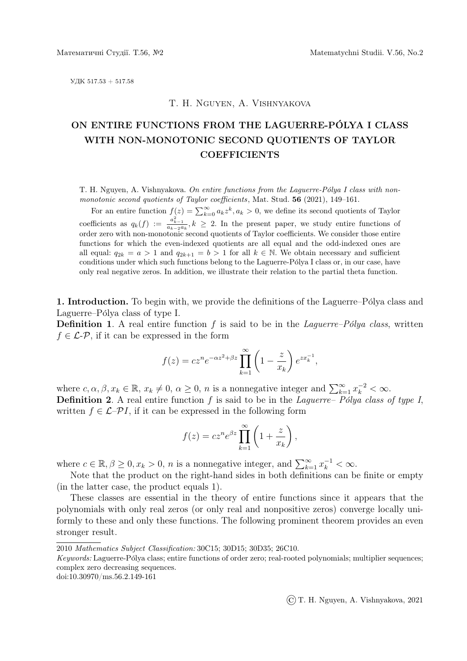УДК 517.53 + 517.58

### T. H. Nguyen, A. Vishnyakova

# ON ENTIRE FUNCTIONS FROM THE LAGUERRE-POLYA I CLASS ´ WITH NON-MONOTONIC SECOND QUOTIENTS OF TAYLOR **COEFFICIENTS**

T. H. Nguyen, A. Vishnyakova. On entire functions from the Laguerre-Pólya I class with nonmonotonic second quotients of Taylor coefficients, Mat. Stud. 56 (2021), 149–161.

For an entire function  $f(z) = \sum_{k=0}^{\infty} a_k z^k, a_k > 0$ , we define its second quotients of Taylor coefficients as  $q_k(f) := \frac{a_{k-1}^2}{a_{k-2}a_k}$ ,  $k \geq 2$ . In the present paper, we study entire functions of order zero with non-monotonic second quotients of Taylor coefficients. We consider those entire functions for which the even-indexed quotients are all equal and the odd-indexed ones are all equal:  $q_{2k} = a > 1$  and  $q_{2k+1} = b > 1$  for all  $k \in \mathbb{N}$ . We obtain necessary and sufficient conditions under which such functions belong to the Laguerre-Pólya I class or, in our case, have only real negative zeros. In addition, we illustrate their relation to the partial theta function.

1. Introduction. To begin with, we provide the definitions of the Laguerre–Pólya class and Laguerre–Pólya class of type I.

**Definition 1.** A real entire function f is said to be in the Laguerre–Polya class, written  $f \in \mathcal{L}$ - $\mathcal{P}$ , if it can be expressed in the form

$$
f(z) = cz^n e^{-\alpha z^2 + \beta z} \prod_{k=1}^{\infty} \left( 1 - \frac{z}{x_k} \right) e^{zx_k^{-1}},
$$

where  $c, \alpha, \beta, x_k \in \mathbb{R}, x_k \neq 0, \alpha \geq 0, n$  is a nonnegative integer and  $\sum_{k=1}^{\infty} x_k^{-2} < \infty$ . **Definition 2.** A real entire function f is said to be in the Laguerre– Polya class of type I, written  $f \in \mathcal{L}$ – $\mathcal{P}I$ , if it can be expressed in the following form

$$
f(z) = cz^n e^{\beta z} \prod_{k=1}^{\infty} \left( 1 + \frac{z}{x_k} \right),
$$

where  $c \in \mathbb{R}, \beta \geq 0, x_k > 0, n$  is a nonnegative integer, and  $\sum_{k=1}^{\infty} x_k^{-1} < \infty$ .

Note that the product on the right-hand sides in both definitions can be finite or empty (in the latter case, the product equals 1).

These classes are essential in the theory of entire functions since it appears that the polynomials with only real zeros (or only real and nonpositive zeros) converge locally uniformly to these and only these functions. The following prominent theorem provides an even stronger result.

doi:10.30970/ms.56.2.149-161

©T. H. Nguyen, A. Vishnyakova, 2021

<sup>2010</sup> Mathematics Subject Classification: 30C15; 30D15; 30D35; 26C10.

Keywords: Laguerre-Pólya class; entire functions of order zero; real-rooted polynomials; multiplier sequences; complex zero decreasing sequences.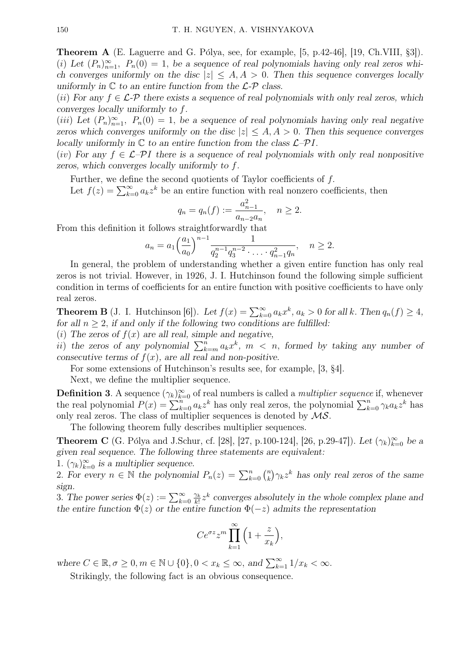Theorem A (E. Laguerre and G. Pólya, see, for example, [5, p.42-46], [19, Ch.VIII, §3]). (i) Let  $(P_n)_{n=1}^{\infty}$ ,  $P_n(0) = 1$ , be a sequence of real polynomials having only real zeros which converges uniformly on the disc  $|z| \leq A, A > 0$ . Then this sequence converges locally uniformly in  $\mathbb C$  to an entire function from the  $\mathcal L$ - $\mathcal P$  class.

(ii) For any  $f \in \mathcal{L}$ -P there exists a sequence of real polynomials with only real zeros, which converges locally uniformly to f.

(iii) Let  $(P_n)_{n=1}^{\infty}$ ,  $P_n(0) = 1$ , be a sequence of real polynomials having only real negative zeros which converges uniformly on the disc  $|z| \leq A, A > 0$ . Then this sequence converges locally uniformly in  $\mathbb C$  to an entire function from the class  $\mathcal L-\mathcal P I$ .

(iv) For any  $f \in \mathcal{L}$ -PI there is a sequence of real polynomials with only real nonpositive zeros, which converges locally uniformly to f.

Further, we define the second quotients of Taylor coefficients of f.

Let  $f(z) = \sum_{k=0}^{\infty} a_k z^k$  be an entire function with real nonzero coefficients, then

$$
q_n = q_n(f) := \frac{a_{n-1}^2}{a_{n-2}a_n}, \quad n \ge 2.
$$

From this definition it follows straightforwardly that

$$
a_n = a_1 \left(\frac{a_1}{a_0}\right)^{n-1} \frac{1}{q_2^{n-1} q_3^{n-2} \cdot \ldots \cdot q_{n-1}^2 q_n}, \quad n \ge 2.
$$

In general, the problem of understanding whether a given entire function has only real zeros is not trivial. However, in 1926, J. I. Hutchinson found the following simple sufficient condition in terms of coefficients for an entire function with positive coefficients to have only real zeros.

**Theorem B** (J. I. Hutchinson [6]). Let  $f(x) = \sum_{k=0}^{\infty} a_k x^k$ ,  $a_k > 0$  for all k. Then  $q_n(f) \ge 4$ , for all  $n \geq 2$ , if and only if the following two conditions are fulfilled:

(i) The zeros of  $f(x)$  are all real, simple and negative,

ii) the zeros of any polynomial  $\sum_{k=m}^{n} a_k x^k$ ,  $m < n$ , formed by taking any number of consecutive terms of  $f(x)$ , are all real and non-positive.

For some extensions of Hutchinson's results see, for example, [3, §4].

Next, we define the multiplier sequence.

**Definition 3.** A sequence  $(\gamma_k)_{k=0}^{\infty}$  of real numbers is called a *multiplier sequence* if, whenever the real polynomial  $P(x) = \sum_{k=0}^{n} a_k z^k$  has only real zeros, the polynomial  $\sum_{k=0}^{n} \gamma_k a_k z^k$  has only real zeros. The class of multiplier sequences is denoted by  $\mathcal{MS}$ .

The following theorem fully describes multiplier sequences.

**Theorem C** (G. Pólya and J.Schur, cf. [28], [27, p.100-124], [26, p.29-47]). Let  $(\gamma_k)_{k=0}^{\infty}$  be a given real sequence. The following three statements are equivalent:

1.  $(\gamma_k)_{k=0}^{\infty}$  is a multiplier sequence.

2. For every  $n \in \mathbb{N}$  the polynomial  $P_n(z) = \sum_{k=0}^n {n \choose k}$  $\binom{n}{k} \gamma_k z^k$  has only real zeros of the same sign.

3. The power series  $\Phi(z) := \sum_{k=0}^{\infty} \frac{\gamma_k}{k!}$  $\frac{\gamma_k}{k!} z^k$  converges absolutely in the whole complex plane and the entire function  $\Phi(z)$  or the entire function  $\Phi(-z)$  admits the representation

$$
Ce^{\sigma z}z^m \prod_{k=1}^{\infty} \left(1 + \frac{z}{x_k}\right),
$$

where  $C \in \mathbb{R}, \sigma \geq 0, m \in \mathbb{N} \cup \{0\}, 0 < x_k \leq \infty$ , and  $\sum_{k=1}^{\infty} 1/x_k < \infty$ .

Strikingly, the following fact is an obvious consequence.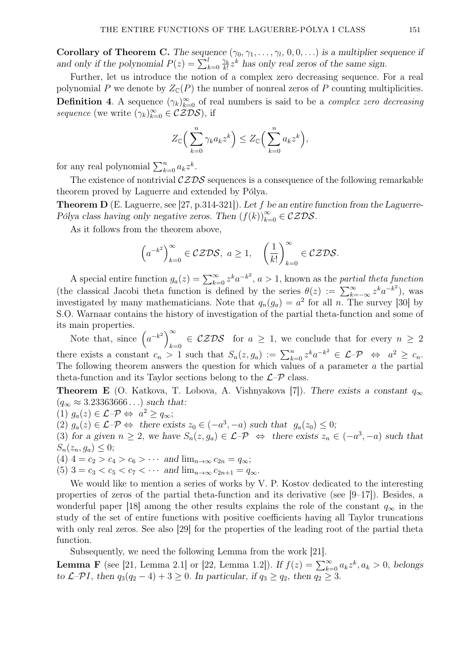Corollary of Theorem C. The sequence  $(\gamma_0, \gamma_1, \ldots, \gamma_l, 0, 0, \ldots)$  is a multiplier sequence if and only if the polynomial  $P(z) = \sum_{k=0}^{l} \frac{\gamma_k}{k!}$  $\frac{\gamma_k}{k!} z^k$  has only real zeros of the same sign.

Further, let us introduce the notion of a complex zero decreasing sequence. For a real polynomial P we denote by  $Z_{\mathbb{C}}(P)$  the number of nonreal zeros of P counting multiplicities. **Definition 4.** A sequence  $(\gamma_k)_{k=0}^{\infty}$  of real numbers is said to be a *complex zero decreasing* sequence (we write  $(\gamma_k)_{k=0}^{\infty} \in \mathcal{CZDS}$ ), if

$$
Z_{\mathbb{C}}\Big(\sum_{k=0}^n \gamma_k a_k z^k\Big) \leq Z_{\mathbb{C}}\Big(\sum_{k=0}^n a_k z^k\Big),
$$

for any real polynomial  $\sum_{k=0}^{n} a_k z^k$ .

The existence of nontrivial  $\mathcal{CZDS}$  sequences is a consequence of the following remarkable theorem proved by Laguerre and extended by Pólya.

**Theorem D** (E. Laguerre, see [27, p.314-321]). Let f be an entire function from the Laguerre-Pólya class having only negative zeros. Then  $(f(k))_{k=0}^{\infty} \in \mathcal{CZDS}$ .

As it follows from the theorem above,

$$
\left(a^{-k^2}\right)_{k=0}^{\infty} \in \mathcal{CZDS}, \ a \ge 1, \quad \left(\frac{1}{k!}\right)_{k=0}^{\infty} \in \mathcal{CZDS}.
$$

A special entire function  $g_a(z) = \sum_{k=0}^{\infty} z^k a^{-k^2}$ ,  $a > 1$ , known as the partial theta function (the classical Jacobi theta function is defined by the series  $\theta(z) := \sum_{k=-\infty}^{\infty} z^k a^{-k^2}$ ), was investigated by many mathematicians. Note that  $q_n(g_a) = a^2$  for all n. The survey [30] by S.O. Warnaar contains the history of investigation of the partial theta-function and some of its main properties.

Note that, since  $(a^{-k^2})^{\infty}$  $k=0$   $\in$  CZDS for  $a \geq 1$ , we conclude that for every  $n \geq 2$ there exists a constant  $c_n > 1$  such that  $S_n(z, g_a) := \sum_{k=0}^n z^k a^{-k^2} \in \mathcal{L} - \mathcal{P} \iff a^2 \geq c_n$ . The following theorem answers the question for which values of a parameter a the partial theta-function and its Taylor sections belong to the  $\mathcal{L}$ – $\mathcal{P}$  class.

**Theorem E** (O. Katkova, T. Lobova, A. Vishnyakova [7]). There exists a constant  $q_{\infty}$  $(q_{\infty} \approx 3.23363666...)$  such that:

(1)  $g_a(z) \in \mathcal{L} - \mathcal{P} \Leftrightarrow a^2 \ge q_\infty;$ 

(2)  $g_a(z) \in \mathcal{L} - \mathcal{P} \Leftrightarrow$  there exists  $z_0 \in (-a^3, -a)$  such that  $g_a(z_0) \leq 0$ ;

(3) for a given  $n \geq 2$ , we have  $S_n(z, g_a) \in \mathcal{L} - \mathcal{P} \iff$  there exists  $z_n \in (-a^3, -a)$  such that  $S_n(z_n, g_a) \leq 0;$ 

(4)  $4 = c_2 > c_4 > c_6 > \cdots$  and  $\lim_{n \to \infty} c_{2n} = q_{\infty};$ 

(5)  $3 = c_3 < c_5 < c_7 < \cdots$  and  $\lim_{n \to \infty} c_{2n+1} = q_{\infty}$ .

We would like to mention a series of works by V. P. Kostov dedicated to the interesting properties of zeros of the partial theta-function and its derivative (see  $[9-17]$ ). Besides, a wonderful paper [18] among the other results explains the role of the constant  $q_{\infty}$  in the study of the set of entire functions with positive coefficients having all Taylor truncations with only real zeros. See also [29] for the properties of the leading root of the partial theta function.

Subsequently, we need the following Lemma from the work [21].

**Lemma F** (see [21, Lemma 2.1] or [22, Lemma 1.2]). If  $f(z) = \sum_{k=0}^{\infty} a_k z^k, a_k > 0$ , belongs to  $\mathcal{L}$ – $\mathcal{P}I$ , then  $q_3(q_2-4)+3 \geq 0$ . In particular, if  $q_3 \geq q_2$ , then  $q_2 \geq 3$ .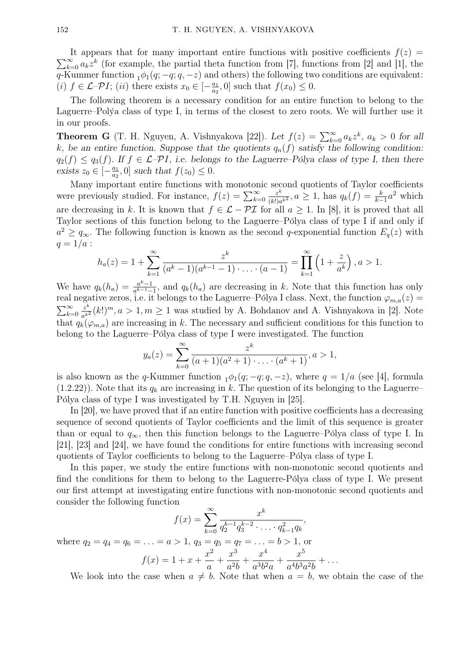$\sum_{k=0}^{\infty} a_k z^k$  (for example, the partial theta function from [7], functions from [2] and [1], the It appears that for many important entire functions with positive coefficients  $f(z)$ q-Kummer function  $_1\phi_1(q; -q; q, -z)$  and others) the following two conditions are equivalent: (i)  $f \in \mathcal{L}$ - $\mathcal{P}I$ ; (ii) there exists  $x_0 \in \left[-\frac{a_1}{a_2}\right]$  $\frac{a_1}{a_2}$ , 0] such that  $f(x_0) \leq 0$ .

The following theorem is a necessary condition for an entire function to belong to the Laguerre–Polya class of type I, in terms of the closest to zero roots. We will further use it in our proofs.

**Theorem G** (T. H. Nguyen, A. Vishnyakova [22]). Let  $f(z) = \sum_{k=0}^{\infty} a_k z^k$ ,  $a_k > 0$  for all k, be an entire function. Suppose that the quotients  $q_n(f)$  satisfy the following condition:  $q_2(f) \leq q_3(f)$ . If  $f \in \mathcal{L}$ - $\mathcal{P}I$ , i.e. belongs to the Laguerre–Pólya class of type I, then there exists  $z_0 \in \left[-\frac{a_1}{a_2}\right]$  $\frac{a_1}{a_2}$ , 0] such that  $f(z_0) \leq 0$ .

Many important entire functions with monotonic second quotients of Taylor coefficients were previously studied. For instance,  $f(z) = \sum_{k=0}^{\infty}$ z k  $\frac{z^k}{(k!)a^{k^2}}$ ,  $a \geq 1$ , has  $q_k(f) = \frac{k}{k-1}a^2$  which are decreasing in k. It is known that  $f \in \mathcal{L} - \mathcal{PI}$  for all  $a \geq 1$ . In [8], it is proved that all Taylor sections of this function belong to the Laguerre–Pólya class of type I if and only if  $a^2 \ge q_{\infty}$ . The following function is known as the second q-exponential function  $E_q(z)$  with  $q = 1/a$ :

$$
h_a(z) = 1 + \sum_{k=1}^{\infty} \frac{z^k}{(a^k - 1)(a^{k-1} - 1) \cdot \ldots \cdot (a-1)} = \prod_{k=1}^{\infty} \left(1 + \frac{z}{a^k}\right), a > 1.
$$

We have  $q_k(h_a) = \frac{a^k-1}{a^{k-1}-1}$  $\frac{a^{k-1}}{a^{k-1}-1}$ , and  $q_k(h_a)$  are decreasing in k. Note that this function has only real negative zeros, i.e. it belongs to the Laguerre–Pólya I class. Next, the function  $\varphi_{m,a}(z)$  =  $\sum_{k=0}^{\infty}$  $z^k$  $\frac{z^k}{a^{k^2}}(k!)^m$ ,  $a > 1$ ,  $m \ge 1$  was studied by A. Bohdanov and A. Vishnyakova in [2]. Note that  $q_k(\varphi_{m,a})$  are increasing in k. The necessary and sufficient conditions for this function to belong to the Laguerre–Pólya class of type I were investigated. The function

$$
y_a(z) = \sum_{k=0}^{\infty} \frac{z^k}{(a+1)(a^2+1)\cdots(a^k+1)}, a > 1,
$$

is also known as the q-Kummer function  $_1\phi_1(q; -q; q, -z)$ , where  $q = 1/a$  (see [4], formula  $(1.2.22)$ ). Note that its  $q_k$  are increasing in k. The question of its belonging to the Laguerre– Pólya class of type I was investigated by T.H. Nguyen in [25].

In [20], we have proved that if an entire function with positive coefficients has a decreasing sequence of second quotients of Taylor coefficients and the limit of this sequence is greater than or equal to  $q_{\infty}$ , then this function belongs to the Laguerre–Pólya class of type I. In [21], [23] and [24], we have found the conditions for entire functions with increasing second quotients of Taylor coefficients to belong to the Laguerre–Pólya class of type I.

In this paper, we study the entire functions with non-monotonic second quotients and find the conditions for them to belong to the Laguerre-Pólya class of type I. We present our first attempt at investigating entire functions with non-monotonic second quotients and consider the following function

$$
f(x) = \sum_{k=0}^{\infty} \frac{x^k}{q_2^{k-1} q_3^{k-2} \cdot \ldots \cdot q_{k-1}^2 q_k},
$$

where  $q_2 = q_4 = q_6 = \ldots = a > 1, q_3 = q_5 = q_7 = \ldots = b > 1$ , or

$$
f(x) = 1 + x + \frac{x^2}{a} + \frac{x^3}{a^2b} + \frac{x^4}{a^3b^2a} + \frac{x^5}{a^4b^3a^2b} + \dots
$$

We look into the case when  $a \neq b$ . Note that when  $a = b$ , we obtain the case of the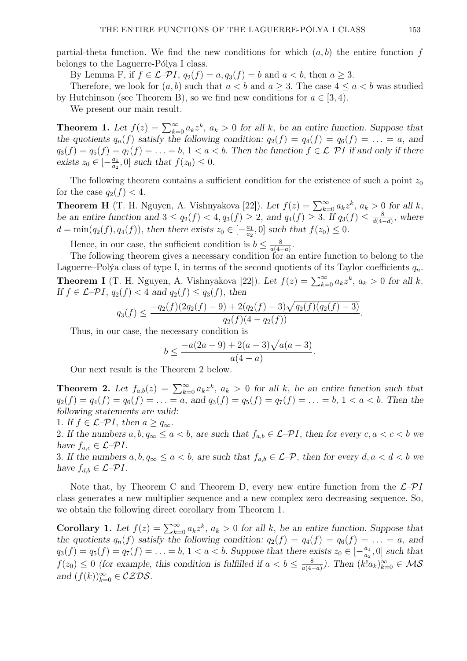partial-theta function. We find the new conditions for which  $(a, b)$  the entire function f belongs to the Laguerre-Pólya I class.

By Lemma F, if  $f \in \mathcal{L}$ - $\mathcal{P}I$ ,  $q_2(f) = a$ ,  $q_3(f) = b$  and  $a < b$ , then  $a \geq 3$ .

Therefore, we look for  $(a, b)$  such that  $a < b$  and  $a \geq 3$ . The case  $4 \leq a < b$  was studied by Hutchinson (see Theorem B), so we find new conditions for  $a \in [3, 4)$ .

We present our main result.

**Theorem 1.** Let  $f(z) = \sum_{k=0}^{\infty} a_k z^k$ ,  $a_k > 0$  for all k, be an entire function. Suppose that the quotients  $q_n(f)$  satisfy the following condition:  $q_2(f) = q_4(f) = q_6(f) = \ldots = a$ , and  $q_3(f) = q_5(f) = q_7(f) = \ldots = b, 1 < a < b.$  Then the function  $f \in \mathcal{L}$ - $\mathcal{P}I$  if and only if there exists  $z_0 \in \left[-\frac{a_1}{a_2}\right]$  $\frac{a_1}{a_2}$ , 0] such that  $f(z_0) \leq 0$ .

The following theorem contains a sufficient condition for the existence of such a point  $z_0$ for the case  $q_2(f) < 4$ .

**Theorem H** (T. H. Nguyen, A. Vishnyakova [22]). Let  $f(z) = \sum_{k=0}^{\infty} a_k z^k$ ,  $a_k > 0$  for all k, be an entire function and  $3 \le q_2(f) < 4$ ,  $q_3(f) \ge 2$ , and  $q_4(f) \ge 3$ . If  $q_3(f) \le \frac{8}{d(4-4)}$  $\frac{8}{d(4-d)}$ , where  $d = \min(q_2(f), q_4(f)),$  then there exists  $z_0 \in \left[-\frac{a_1}{a_2}\right]$  $\frac{a_1}{a_2}$ , 0] such that  $f(z_0) \leq 0$ .

Hence, in our case, the sufficient condition is  $b \leq \frac{8}{a(4)}$  $\frac{8}{a(4-a)}$ .

The following theorem gives a necessary condition for an entire function to belong to the Laguerre–Polýa class of type I, in terms of the second quotients of its Taylor coefficients  $q_n$ . **Theorem I** (T. H. Nguyen, A. Vishnyakova [22]). Let  $f(z) = \sum_{k=0}^{\infty} a_k z^k$ ,  $a_k > 0$  for all k. If  $f \in \mathcal{L}$ - $\mathcal{P}I$ ,  $q_2(f) < 4$  and  $q_2(f) \leq q_3(f)$ , then

$$
q_3(f) \le \frac{-q_2(f)(2q_2(f) - 9) + 2(q_2(f) - 3)\sqrt{q_2(f)(q_2(f) - 3)}}{q_2(f)(4 - q_2(f))}.
$$

Thus, in our case, the necessary condition is

$$
b \le \frac{-a(2a-9) + 2(a-3)\sqrt{a(a-3)}}{a(4-a)}.
$$

Our next result is the Theorem 2 below.

**Theorem 2.** Let  $f_{a,b}(z) = \sum_{k=0}^{\infty} a_k z^k$ ,  $a_k > 0$  for all k, be an entire function such that  $q_2(f) = q_4(f) = q_6(f) = \ldots = a$ , and  $q_3(f) = q_5(f) = q_7(f) = \ldots = b$ ,  $1 < a < b$ . Then the following statements are valid:

1. If  $f \in \mathcal{L}$ - $\mathcal{P}I$ , then  $a \geq q_{\infty}$ .

2. If the numbers  $a, b, q_\infty \le a < b$ , are such that  $f_{a,b} \in \mathcal{L} - \mathcal{P}I$ , then for every  $c, a < c < b$  we have  $f_{a,c} \in \mathcal{L}$ - $\mathcal{P}I$ .

3. If the numbers  $a, b, q_\infty \le a < b$ , are such that  $f_{a,b} \in \mathcal{L}$ - $\mathcal{P}$ , then for every  $d, a < d < b$  we have  $f_{d,b} \in \mathcal{L}$ - $\mathcal{P}I$ .

Note that, by Theorem C and Theorem D, every new entire function from the  $\mathcal{L}$ - $\mathcal{P}I$ class generates a new multiplier sequence and a new complex zero decreasing sequence. So, we obtain the following direct corollary from Theorem 1.

Corollary 1. Let  $f(z) = \sum_{k=0}^{\infty} a_k z^k$ ,  $a_k > 0$  for all k, be an entire function. Suppose that the quotients  $q_n(f)$  satisfy the following condition:  $q_2(f) = q_4(f) = q_6(f) = \ldots = a$ , and  $q_3(f) = q_5(f) = q_7(f) = \ldots = b, 1 < a < b$ . Suppose that there exists  $z_0 \in \left[-\frac{a_1}{a_2}\right]$  $\frac{a_1}{a_2}$ , 0] such that  $f(z_0) \leq 0$  (for example, this condition is fulfilled if  $a < b \leq \frac{8}{a(4)}$  $\frac{8}{a(4-a)}$ ). Then  $(k!a_k)_{k=0}^{\infty} \in \mathcal{MS}$ and  $(f(k))_{k=0}^{\infty} \in \mathcal{CZDS}$ .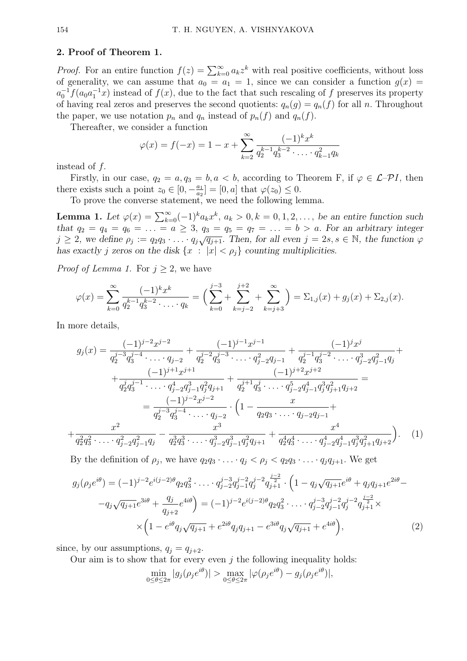#### 2. Proof of Theorem 1.

*Proof.* For an entire function  $f(z) = \sum_{k=0}^{\infty} a_k z^k$  with real positive coefficients, without loss of generality, we can assume that  $a_0 = a_1 = 1$ , since we can consider a function  $g(x) =$  $a_0^{-1} f(a_0 a_1^{-1} x)$  instead of  $f(x)$ , due to the fact that such rescaling of f preserves its property of having real zeros and preserves the second quotients:  $q_n(g) = q_n(f)$  for all n. Throughout the paper, we use notation  $p_n$  and  $q_n$  instead of  $p_n(f)$  and  $q_n(f)$ .

Thereafter, we consider a function

$$
\varphi(x) = f(-x) = 1 - x + \sum_{k=2}^{\infty} \frac{(-1)^k x^k}{q_2^{k-1} q_3^{k-2} \cdot \ldots \cdot q_{k-1}^2 q_k}
$$

instead of f.

Firstly, in our case,  $q_2 = a, q_3 = b, a < b$ , according to Theorem F, if  $\varphi \in \mathcal{L}$ - $\mathcal{P}I$ , then there exists such a point  $z_0 \in [0, -\frac{a_1}{a_2}]$  $\frac{a_1}{a_2}$  = [0, a] that  $\varphi(z_0) \leq 0$ .

To prove the converse statement, we need the following lemma.

**Lemma 1.** Let  $\varphi(x) = \sum_{k=0}^{\infty} (-1)^k a_k x^k$ ,  $a_k > 0$ ,  $k = 0, 1, 2, \ldots$ , be an entire function such that  $q_2 = q_4 = q_6 = \ldots = a \geq 3$ ,  $q_3 = q_5 = q_7 = \ldots = b > a$ . For an arbitrary integer  $j \geq 2$ , we define  $\rho_j := q_2 q_3 \cdot \ldots \cdot q_j \sqrt{q_{j+1}}$ . Then, for all even  $j = 2s, s \in \mathbb{N}$ , the function  $\varphi$ has exactly j zeros on the disk  $\{x : |x| < \rho_i\}$  counting multiplicities.

*Proof of Lemma 1.* For  $j \geq 2$ , we have

$$
\varphi(x) = \sum_{k=0}^{\infty} \frac{(-1)^k x^k}{q_2^{k-1} q_3^{k-2} \cdot \ldots \cdot q_k} = \Big( \sum_{k=0}^{j-3} + \sum_{k=j-2}^{j+2} + \sum_{k=j+3}^{\infty} \Big) = \Sigma_{1,j}(x) + g_j(x) + \Sigma_{2,j}(x).
$$

In more details,

$$
g_j(x) = \frac{(-1)^{j-2}x^{j-2}}{q_2^{j-3}q_3^{j-4} \cdots q_{j-2}} + \frac{(-1)^{j-1}x^{j-1}}{q_2^{j-2}q_3^{j-3} \cdots q_{j-2}^2q_{j-1}} + \frac{(-1)^jx^j}{q_2^{j-1}q_3^{j-2} \cdots q_{j-2}^3q_{j-1}^2q_j} + \frac{(-1)^{j+1}x^{j+1}}{q_2^jq_3^{j-1} \cdots q_{j-2}^4q_{j-1}^3q_{j+1}^2} + \frac{(-1)^{j+2}x^{j+2}}{q_2^{j+1}q_3^j \cdots q_{j-2}^4q_{j-1}^4q_j^3q_{j+1}^2q_{j+2}} = \frac{(-1)^{j-2}x^{j-2}}{q_2^{j-3}q_3^{j-4} \cdots q_{j-2}^2} \cdot \left(1 - \frac{x}{q_2q_3 \cdots q_{j-2}q_{j-1}} + \frac{x^2}{q_2^2q_3^2 \cdots q_{j-2}^2q_{j-1}^2q_j^3q_{j+1}^2} + \frac{x^4}{q_2^2q_3^2 \cdots q_{j-2}^2q_{j-1}^2q_j} \right). \tag{1}
$$

By the definition of  $\rho_j$ , we have  $q_2q_3 \cdot \ldots \cdot q_j < \rho_j < q_2q_3 \cdot \ldots \cdot q_jq_{j+1}$ . We get

$$
g_j(\rho_j e^{i\theta}) = (-1)^{j-2} e^{i(j-2)\theta} q_2 q_3^2 \cdot \ldots \cdot q_{j-2}^{j-3} q_{j-1}^{j-2} q_j^{j-2} q_{j+1}^{j-2} \cdot \left(1 - q_j \sqrt{q_{j+1}} e^{i\theta} + q_j q_{j+1} e^{2i\theta} - q_j \sqrt{q_{j+1}} e^{3i\theta} + \frac{q_j}{q_{j+2}} e^{4i\theta}\right) = (-1)^{j-2} e^{i(j-2)\theta} q_2 q_3^2 \cdot \ldots \cdot q_{j-2}^{j-3} q_{j-1}^{j-2} q_j^{j-2} q_{j+1}^{j-2} \times \left(1 - e^{i\theta} q_j \sqrt{q_{j+1}} + e^{2i\theta} q_j q_{j+1} - e^{3i\theta} q_j \sqrt{q_{j+1}} + e^{4i\theta}\right),
$$
\n(2)

since, by our assumptions,  $q_i = q_{i+2}$ .

Our aim is to show that for every even  $j$  the following inequality holds:

$$
\min_{0 \le \theta \le 2\pi} |g_j(\rho_j e^{i\theta})| > \max_{0 \le \theta \le 2\pi} |\varphi(\rho_j e^{i\theta}) - g_j(\rho_j e^{i\theta})|,
$$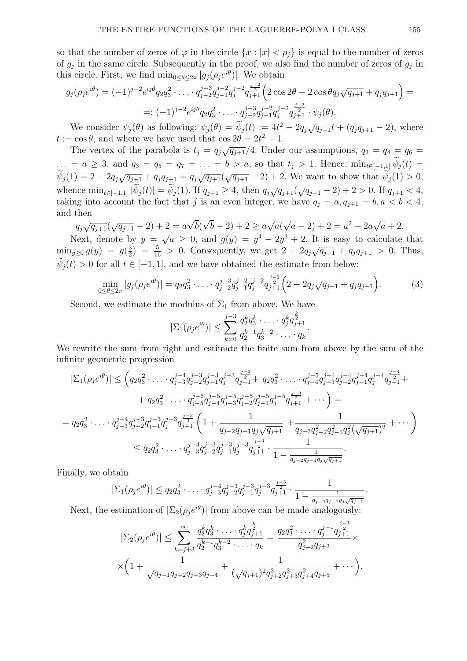so that the number of zeros of  $\varphi$  in the circle  $\{x : |x| < \rho_j\}$  is equal to the number of zeros of  $g_j$  in the same circle. Subsequently in the proof, we also find the number of zeros of  $g_j$  in this circle. First, we find  $\min_{0 \leq \theta \leq 2\pi} |g_j(\rho_j e^{i\theta})|$ . We obtain

$$
g_j(\rho_j e^{i\theta}) = (-1)^{j-2} e^{ij\theta} q_2 q_3^2 \cdot \ldots \cdot q_{j-2}^{j-3} q_{j-1}^{j-2} q_{j+1}^{j-2} \left(2 \cos 2\theta - 2 \cos \theta q_j \sqrt{q_{j+1}} + q_j q_{j+1}\right) =
$$
  
=:  $(-1)^{j-2} e^{ij\theta} q_2 q_3^2 \cdot \ldots \cdot q_{j-2}^{j-3} q_{j-1}^{j-2} q_{j+1}^{j-2} \cdot \psi_j(\theta).$ 

We consider  $\psi_j(\theta)$  as following:  $\psi_j(\theta) = \widetilde{\psi}_j(t) := 4t^2 - 2q_j\sqrt{q_{j+1}}t + (q_jq_{j+1} - 2)$ , where  $t := \cos \theta$ , and where we have used that  $\cos 2\theta = 2t^2 - 1$ .

The vertex of the parabola is  $t_j = q_j \sqrt{q_{j+1}}/4$ . Under our assumptions,  $q_2 = q_4 = q_6 =$ ... = a ≥ 3, and  $q_3 = q_5 = q_7 = \ldots = b > a$ , so that  $t_j > 1$ . Hence,  $\min_{t \in [-1,1]} \widetilde{\psi}_j(t) =$  $\widetilde{\psi}_j(1) = 2 - 2q_j\sqrt{q_{j+1}} + q_jq_{j+1} = q_j\sqrt{q_{j+1}}(\sqrt{q_{j+1}} - 2) + 2$ . We want to show that  $\widetilde{\psi}_j(1) > 0$ , whence  $\min_{t \in [-1,1]} |\tilde{\psi}_j(t)| = \tilde{\psi}_j(1)$ . If  $q_{j+1} \geq 4$ , then  $q_j \sqrt{q_{j+1}}(\sqrt{q_{j+1}} - 2) + 2 > 0$ . If  $q_{j+1} < 4$ , taking into account the fact that j is an even integer, we have  $q_j = a, q_{j+1} = b, a < b < 4$ , and then √ √

$$
q_j \sqrt{q_{j+1}} (\sqrt{q_{j+1}} - 2) + 2 = a \sqrt{b} (\sqrt{b} - 2) + 2 \ge a \sqrt{a} (\sqrt{a} - 2) + 2 = a^2 - 2a \sqrt{a} + 2.
$$

Next, denote by  $y =$  $\overline{a} \geq 0$ , and  $g(y) = y^4 - 2y^3 + 2$ . It is easy to calculate that  $\min_{y\geq 0} g(y) = g(\frac{3}{2})$  $(\frac{3}{2}) = \frac{5}{16} > 0$ . Consequently, we get  $2 - 2q_j\sqrt{q_{j+1}} + q_j q_{j+1} > 0$ . Thus,  $\psi_i(t) > 0$  for all  $t \in [-1, 1]$ , and we have obtained the estimate from below:

$$
\min_{0 \le \theta \le 2\pi} |g_j(\rho_j e^{i\theta})| = q_2 q_3^2 \cdot \ldots \cdot q_{j-2}^{j-3} q_{j-1}^{j-2} q_j^{j-2} q_{j+1}^{\frac{j-2}{2}} \left(2 - 2q_j \sqrt{q_{j+1}} + q_j q_{j+1}\right). \tag{3}
$$

Second, we estimate the modulus of  $\Sigma_1$  from above. We have

$$
|\Sigma_1(\rho_j e^{i\theta})| \leq \sum_{k=0}^{j-3} \frac{q_2^k q_3^k \cdot \ldots \cdot q_j^k q_{j+1}^{\frac{k}{2}}}{q_2^{k-1} q_3^{k-2} \cdot \ldots \cdot q_k}.
$$

We rewrite the sum from right and estimate the finite sum from above by the sum of the infinite geometric progression

$$
|\Sigma_{1}(\rho_{j}e^{i\theta})| \leq (q_{2}q_{3}^{2} \cdot \ldots \cdot q_{j-3}^{j-4}q_{j-2}^{j-3}q_{j-1}^{j-3}q_{j+1}^{j-3} + q_{2}q_{3}^{2} \cdot \ldots \cdot q_{j-4}^{j-5}q_{j-3}^{j-4}q_{j-2}^{j-4}q_{j-1}^{j-4}q_{j}^{j-4}q_{j+1}^{\frac{j-4}{2}} +
$$
  
\n
$$
+ q_{2}q_{3}^{2} \cdot \ldots \cdot q_{j-5}^{j-6}q_{j-4}^{j-5}q_{j-3}^{j-5}q_{j-2}^{j-5}q_{j-1}^{j-5}q_{j}^{j-5}q_{j+1}^{j-5} + \ldots) =
$$
  
\n
$$
= q_{2}q_{3}^{2} \cdot \ldots \cdot q_{j-3}^{j-4}q_{j-2}^{j-3}q_{j-1}^{j-3}q_{j+1}^{j-3} \left(1 + \frac{1}{q_{j-2}q_{j-1}q_{j}\sqrt{q_{j+1}}} + \frac{1}{q_{j-3}q_{j-2}^{2}q_{j-1}^{2}q_{j}^{2}(\sqrt{q_{j+1}})^{2}} + \ldots\right)
$$
  
\n
$$
\leq q_{2}q_{3}^{2} \cdot \ldots \cdot q_{j-3}^{j-4}q_{j-2}^{j-3}q_{j-1}^{j-3}q_{j}^{j-3}q_{j+1}^{\frac{j-3}{2}} \cdot \frac{1}{1 - \frac{1}{q_{j-2}q_{j-1}q_{j}\sqrt{q_{j+1}}}}.
$$

Finally, we obtain

$$
|\Sigma_1(\rho_j e^{i\theta})| \le q_2 q_3^2 \cdot \ldots \cdot q_{j-3}^{j-4} q_{j-2}^{j-3} q_{j-1}^{j-3} q_j^{j-3} q_{j+1}^{\frac{j-3}{2}} \cdot \frac{1}{1 - \frac{1}{q_{j-2} q_{j-1} q_j \sqrt{q_{j+1}}}}
$$

.

Next, the estimation of  $\left|\sum_{i}(\rho_{i}e^{i\theta})\right|$  from above can be made analogously:

$$
|\Sigma_2(\rho_j e^{i\theta})| \leq \sum_{k=j+3}^{\infty} \frac{q_2^k q_3^k \cdot \dots \cdot q_j^k q_{j+1}^{\frac{k}{2}}}{q_2^{k-1} q_3^{k-2} \cdot \dots \cdot q_k} = \frac{q_2 q_3^2 \cdot \dots \cdot q_j^{j-1} q_{j+1}^{\frac{j-3}{2}}}{q_{j+2}^2 q_{j+3}} \times \left(1 + \frac{1}{\sqrt{q_{j+1}} q_{j+2} q_{j+3} q_{j+4}} + \frac{1}{(\sqrt{q_{j+1}})^2 q_{j+2}^2 q_{j+3}^2 q_{j+4}^2 q_{j+5}} + \dots\right).
$$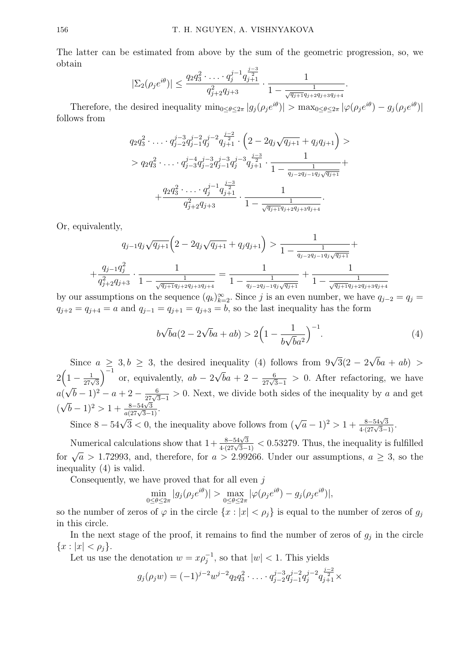The latter can be estimated from above by the sum of the geometric progression, so, we obtain  $j=3$ 

$$
|\Sigma_2(\rho_j e^{i\theta})| \le \frac{q_2 q_3^2 \cdot \ldots \cdot q_j^{j-1} q_{j+1}^{\frac{j-2}{2}}}{q_{j+2}^2 q_{j+3}} \cdot \frac{1}{1 - \frac{1}{\sqrt{q_{j+1} q_{j+2} q_{j+3} q_{j+4}}}}.
$$

Therefore, the desired inequality  $\min_{0 \leq \theta \leq 2\pi} |g_j(\rho_j e^{i\theta})| > \max_{0 \leq \theta \leq 2\pi} |\varphi(\rho_j e^{i\theta}) - g_j(\rho_j e^{i\theta})|$ follows from

$$
q_2 q_3^2 \cdot \ldots \cdot q_{j-2}^{j-3} q_{j-1}^{j-2} q_{j+1}^{j-2} \cdot \left(2 - 2q_j \sqrt{q_{j+1}} + q_j q_{j+1}\right) >
$$
  
> 
$$
q_2 q_3^2 \cdot \ldots \cdot q_{j-3}^{j-4} q_{j-2}^{j-3} q_{j-1}^{j-3} q_{j+1}^{j-3} \cdot \frac{1}{1 - \frac{1}{q_{j-2} q_{j-1} q_j \sqrt{q_{j+1}}}} + \frac{q_2 q_3^2 \cdot \ldots \cdot q_j^{j-1} q_{j+1}^{j-3}}{q_{j+2}^2 q_{j+3}} \cdot \frac{1}{1 - \frac{1}{\sqrt{q_{j+1} q_{j+2} q_{j+3} q_{j+4}}}}.
$$

Or, equivalently,

$$
q_{j-1}q_j\sqrt{q_{j+1}}\left(2-2q_j\sqrt{q_{j+1}}+q_jq_{j+1}\right) > \frac{1}{1-\frac{1}{q_{j-2}q_{j-1}q_j\sqrt{q_{j+1}}}} + \frac{q_{j-1}q_j^2}{q_{j+2}^2q_{j+3}} \cdot \frac{1}{1-\frac{1}{\sqrt{q_{j+1}}q_{j+2}q_{j+3}q_{j+4}}} = \frac{1}{1-\frac{1}{q_{j-2}q_{j-1}q_j\sqrt{q_{j+1}}}} + \frac{1}{1-\frac{1}{\sqrt{q_{j+1}}q_{j+2}q_{j+3}q_{j+4}}}
$$

by our assumptions on the sequence  $(q_k)_{k=2}^{\infty}$ . Since j is an even number, we have  $q_{j-2} = q_j =$  $q_{j+2} = q_{j+4} = a$  and  $q_{j-1} = q_{j+1} = q_{j+3} = b$ , so the last inequality has the form

$$
b\sqrt{b}a(2 - 2\sqrt{b}a + ab) > 2\left(1 - \frac{1}{b\sqrt{b}a^2}\right)^{-1}.
$$
 (4)

Since  $a \geq 3, b \geq 3$ , the desired inequality (4) follows from 9 √  $3(2 - 2)$ √  $ba + ab$  >  $2\Bigl(1-\frac{1}{27\sqrt{3}}$  $\int^{-1}$  or, equivalently,  $ab - 2$ √  $\bar{b}a + 2 - \frac{6}{27\sqrt{3}-1} > 0$ . After refactoring, we have a( √  $(\overline{b}-1)^2 - a + 2 - \frac{6}{27\sqrt{3}-1} > 0$ . Next, we divide both sides of the inequality by a and get  $(\sqrt{b}-1)^2 > 1 + \frac{8-54\sqrt{3}}{a(27\sqrt{3}-1)}.$ √

Since  $8 - 54\sqrt{3} < 0$ , the inequality above follows from (  $\sqrt{a}-1$ <sup>2</sup> > 1 +  $\frac{8-54\sqrt{3}}{4(27\sqrt{3}-1)}$ .

Numerical calculations show that  $1+\frac{8-54\sqrt{3}}{4\cdot(27\sqrt{3}-1)} < 0.53279$ . Thus, the inequality is fulfilled for  $\sqrt{a} > 1.72993$ , and, therefore, for  $a > 2.99266$ . Under our assumptions,  $a \geq 3$ , so the inequality (4) is valid.

Consequently, we have proved that for all even  $j$ 

$$
\min_{0 \le \theta \le 2\pi} |g_j(\rho_j e^{i\theta})| > \max_{0 \le \theta \le 2\pi} |\varphi(\rho_j e^{i\theta}) - g_j(\rho_j e^{i\theta})|,
$$

so the number of zeros of  $\varphi$  in the circle  $\{x : |x| < \rho_i\}$  is equal to the number of zeros of  $g_i$ in this circle.

In the next stage of the proof, it remains to find the number of zeros of  $g_j$  in the circle  ${x : |x| < \rho_i}.$ 

Let us use the denotation  $w = x \rho_j^{-1}$ , so that  $|w| < 1$ . This yields

$$
g_j(\rho_j w) = (-1)^{j-2} w^{j-2} q_2 q_3^2 \cdot \ldots \cdot q_{j-2}^{j-3} q_{j-1}^{j-2} q_j^{j-2} q_{j+1}^{\frac{j-2}{2}} \times
$$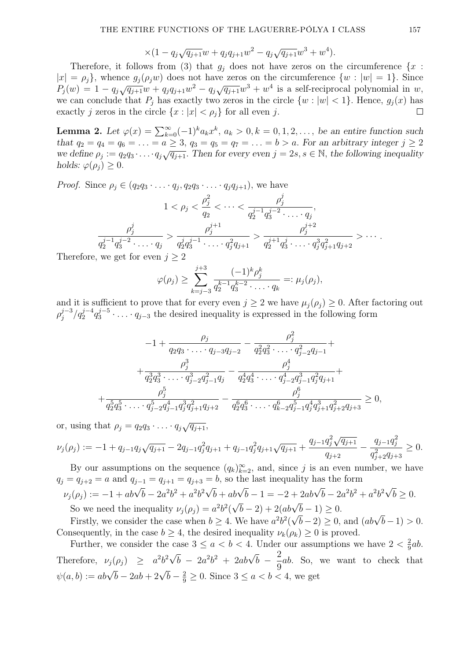$$
\times (1 - q_j \sqrt{q_{j+1}} w + q_j q_{j+1} w^2 - q_j \sqrt{q_{j+1}} w^3 + w^4).
$$

Therefore, it follows from (3) that  $g_i$  does not have zeros on the circumference  $\{x :$  $|x| = \rho_i$ , whence  $g_i(\rho_i w)$  does not have zeros on the circumference  $\{w : |w| = 1\}$ . Since  $P_j(w) = 1 - q_j \sqrt{q_{j+1}} w + q_j q_{j+1} w^2 - q_j \sqrt{q_{j+1}} w^3 + w^4$  is a self-reciprocal polynomial in w, we can conclude that  $P_i$  has exactly two zeros in the circle  $\{w : |w| < 1\}$ . Hence,  $g_i(x)$  has exactly j zeros in the circle  $\{x : |x| < \rho_j\}$  for all even j.  $\Box$ 

**Lemma 2.** Let  $\varphi(x) = \sum_{k=0}^{\infty} (-1)^k a_k x^k$ ,  $a_k > 0$ ,  $k = 0, 1, 2, \ldots$ , be an entire function such that  $q_2 = q_4 = q_6 = \ldots = a \geq 3$ ,  $q_3 = q_5 = q_7 = \ldots = b > a$ . For an arbitrary integer  $j \geq 2$ we define  $\rho_j := q_2 q_3 \cdots q_j \sqrt{q_{j+1}}$ . Then for every even  $j = 2s, s \in \mathbb{N}$ , the following inequality holds:  $\varphi(\rho_i) \geq 0$ .

*Proof.* Since  $\rho_j \in (q_2q_3 \cdot \ldots \cdot q_j, q_2q_3 \cdot \ldots \cdot q_jq_{j+1}),$  we have

$$
1 < \rho_j < \frac{\rho_j^2}{q_2} < \cdots < \frac{\rho_j^j}{q_2^{j-1}q_3^{j-2}\cdots q_j},
$$
\n
$$
\frac{\rho_j^j}{q_2^{j-1}q_3^{j-2}\cdots q_j} > \frac{\rho_j^{j+1}}{q_2^jq_3^{j-1}\cdots q_j^2q_{j+1}} > \frac{\rho_j^{j+2}}{q_2^{j+1}q_3^j\cdots q_j^3q_{j+1}^2q_{j+2}} > \cdots.
$$
\nand for even  $j > 2$ .

Therefore, we get for even  $j \geq 2$ 

$$
\varphi(\rho_j) \geq \sum_{k=j-3}^{j+3} \frac{(-1)^k \rho_j^k}{q_2^{k-1} q_3^{k-2} \cdot \ldots \cdot q_k} =: \mu_j(\rho_j),
$$

and it is sufficient to prove that for every even  $j \geq 2$  we have  $\mu_j(\rho_j) \geq 0$ . After factoring out  $\rho_i^{j-3}$  $j^{-3}/q_2^{j-4}q_3^{j-5}$  $3^{j-5}$ ....  $q_{j-3}$  the desired inequality is expressed in the following form

$$
-1 + \frac{\rho_j}{q_2 q_3 \cdots q_{j-3} q_{j-2}} - \frac{\rho_j^2}{q_2^2 q_3^2 \cdots q_{j-2}^2 q_{j-1}} + + \frac{\rho_j^3}{q_2^3 q_3^3 \cdots q_{j-2}^3 q_{j-1}^2 q_j} - \frac{\rho_j^4}{q_2^4 q_3^4 \cdots q_{j-2}^4 q_{j-1}^3 q_{j}^2 q_{j+1}} + + \frac{\rho_j^5}{q_2^5 q_3^5 \cdots q_{j-2}^5 q_{j-1}^4 q_j^3 q_{j+1}^2 q_{j+2}} - \frac{\rho_j^6}{q_2^6 q_3^6 \cdots q_{k-2}^6 q_{j-1}^5 q_j^4 q_{j+1}^3 q_{j+2}^2 q_{j+3}} \ge 0,
$$

or, using that  $\rho_j = q_2 q_3 \cdot \ldots \cdot q_j \sqrt{q_{j+1}}$ ,

$$
\nu_j(\rho_j) := -1 + q_{j-1}q_j\sqrt{q_{j+1}} - 2q_{j-1}q_j^2q_{j+1} + q_{j-1}q_j^2q_{j+1}\sqrt{q_{j+1}} + \frac{q_{j-1}q_j^2\sqrt{q_{j+1}}}{q_{j+2}} - \frac{q_{j-1}q_j^2}{q_{j+2}^2q_{j+3}} \ge 0.
$$

By our assumptions on the sequence  $(q_k)_{k=2}^{\infty}$ , and, since j is an even number, we have  $q_j = q_{j+2} = a$  and  $q_{j-1} = q_{j+1} = q_{j+3} = b$ , so the last inequality has the form √

$$
\nu_j(\rho_j) := -1 + ab\sqrt{b} - 2a^2b^2 + a^2b^2\sqrt{b} + ab\sqrt{b} - 1 = -2 + 2ab\sqrt{b} - 2a^2b^2 + a^2b^2\sqrt{b} \ge 0.
$$
  
So we need the inequality  $\nu_j(\rho_j) = a^2b^2(\sqrt{b} - 2) + 2(ab\sqrt{b} - 1) \ge 0$ .

So we need the mequantly  $\nu_j(\rho_j) = a \nu (\nabla \nu - z) + z(a \nu \nabla \nu - 1) \geq 0$ .<br>Firstly, we consider the case when  $b \geq 4$ . We have  $a^2b^2(\sqrt{b}-2) \geq 0$ , and  $(ab\sqrt{b}-1) > 0$ . Consequently, in the case  $b \geq 4$ , the desired inequality  $\nu_k(\rho_k) \geq 0$  is proved.

Further, we consider the case  $3 \le a < b < 4$ . Under our assumptions we have  $2 < \frac{2}{9}$  $rac{2}{9}ab.$ Therefore,  $\nu_j(\rho_j) \geq a^2b^2\sqrt{2}$  $\overline{b}$  –  $2a^2b^2$  +  $2ab\sqrt{b}$  –  $\frac{2}{2}$ 9 ab. So, we want to check that  $\psi(a, b) := ab\sqrt{b} - 2ab + 2\sqrt{b} - \frac{2}{9} \ge 0$ . Since  $3 \le a < b < 4$ , we get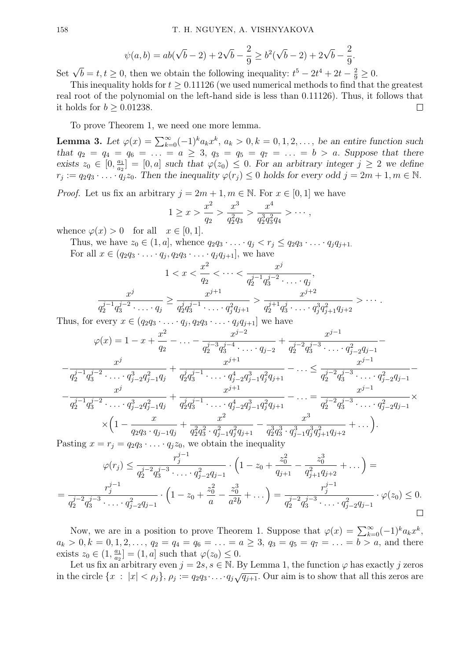$$
\psi(a,b) = ab(\sqrt{b} - 2) + 2\sqrt{b} - \frac{2}{9} \ge b^2(\sqrt{b} - 2) + 2\sqrt{b} - \frac{2}{9}.
$$

Set  $\sqrt{b} = t, t \ge 0$ , then we obtain the following inequality:  $t^5 - 2t^4 + 2t - \frac{2}{9} \ge 0$ .

This inequality holds for  $t > 0.11126$  (we used numerical methods to find that the greatest real root of the polynomial on the left-hand side is less than 0.11126). Thus, it follows that it holds for  $b > 0.01238$ .  $\Box$ 

To prove Theorem 1, we need one more lemma.

**Lemma 3.** Let  $\varphi(x) = \sum_{k=0}^{\infty} (-1)^k a_k x^k$ ,  $a_k > 0$ ,  $k = 0, 1, 2, \ldots$ , be an entire function such that  $q_2 = q_4 = q_6 = \ldots = a \geq 3$ ,  $q_3 = q_5 = q_7 = \ldots = b > a$ . Suppose that there exists  $z_0 \in [0, \frac{a_1}{a_2}]$  $\frac{a_1}{a_2}$  =  $[0, a]$  such that  $\varphi(z_0) \leq 0$ . For an arbitrary integer  $j \geq 2$  we define  $r_j := q_2 q_3 \cdot \ldots \cdot q_j z_0$ . Then the inequality  $\varphi(r_j) \leq 0$  holds for every odd  $j = 2m + 1, m \in \mathbb{N}$ .

*Proof.* Let us fix an arbitrary  $j = 2m + 1, m \in \mathbb{N}$ . For  $x \in [0, 1]$  we have

$$
1 \geq x > \frac{x^2}{q_2} > \frac{x^3}{q_2^2 q_3} > \frac{x^4}{q_2^3 q_3^2 q_4} > \cdots,
$$

whence  $\varphi(x) > 0$  for all  $x \in [0, 1]$ .

Thus, we have  $z_0 \in (1, a]$ , whence  $q_2q_3 \cdot \ldots \cdot q_j < r_j \leq q_2q_3 \cdot \ldots \cdot q_jq_{j+1}$ . For all  $x \in (q_2q_3 \cdot \ldots \cdot q_j, q_2q_3 \cdot \ldots \cdot q_jq_{j+1}],$  we have

$$
1 < x < \frac{x^2}{q_2} < \dots < \frac{x^j}{q_2^{j-1} q_3^{j-2} \cdot \dots \cdot q_j},
$$
\n
$$
\frac{x^j}{q_2^{j-1} q_3^{j-2} \cdot \dots \cdot q_j} \ge \frac{x^{j+1}}{q_2^j q_3^{j-1} \cdot \dots \cdot q_j^2 q_{j+1}} > \frac{x^{j+2}}{q_2^{j+1} q_3^j \cdot \dots \cdot q_j^3 q_{j+1}^2 q_{j+2}} > \dots.
$$

Thus, for every  $x \in (q_2q_3 \cdot \ldots \cdot q_j, q_2q_3 \cdot \ldots \cdot q_jq_{j+1}]$  we have

$$
\varphi(x) = 1 - x + \frac{x^2}{q_2} - \dots - \frac{x^{j-2}}{q_2^{j-3}q_3^{j-4} \cdot \dots \cdot q_{j-2}} + \frac{x^{j-1}}{q_2^{j-2}q_3^{j-3} \cdot \dots \cdot q_{j-2}^2 q_{j-1}} - \frac{x^j}{q_2^{j-1}q_3^{j-2} \cdot \dots \cdot q_{j-2}^3 q_{j-1}^2 q_j} + \frac{x^{j+1}}{q_2^j q_3^{j-1} \cdot \dots \cdot q_{j-2}^4 q_{j-1}^3 q_{j+1}} - \dots \le \frac{x^{j-1}}{q_2^{j-2}q_3^{j-3} \cdot \dots \cdot q_{j-2}^2 q_{j-1}} - \frac{x^j}{q_2^{j-1}q_3^{j-2} \cdot \dots \cdot q_{j-2}^3 q_{j-1}^2 q_j} + \frac{x^{j+1}}{q_2^j q_3^{j-1} \cdot \dots \cdot q_{j-2}^4 q_{j-1}^3 q_{j+1}^2} - \dots = \frac{x^{j-1}}{q_2^{j-2}q_3^{j-3} \cdot \dots \cdot q_{j-2}^2 q_{j-1}} \times \frac{x^j}{q_2^j q_3 \cdot q_{j-1} q_j} + \frac{x^2}{q_2^2 q_3^2 \cdot q_{j-1}^2 q_j^2 q_{j+1}} - \frac{x^3}{q_2^3 q_3^3 \cdot q_{j-1}^3 q_j^3 q_{j+1}^2 q_{j+2}} + \dots \big).
$$
  
\n
$$
\text{Assing } x = r_i = q_2 q_3 \cdot \dots \cdot q_i z_0, \text{ we obtain the inequality}
$$

Pasting  $x = r_j = q_2 q_3 \cdot \ldots \cdot q_j z_0$ , we obtain the inequality

$$
\varphi(r_j) \le \frac{r_j^{j-1}}{q_2^{j-2}q_3^{j-3}\cdot\ldots\cdot q_{j-2}^2q_{j-1}} \cdot \left(1 - z_0 + \frac{z_0^2}{q_{j+1}} - \frac{z_0^3}{q_{j+1}^2q_{j+2}} + \ldots\right) =
$$
  
= 
$$
\frac{r_j^{j-1}}{q_2^{j-2}q_3^{j-3}\cdot\ldots\cdot q_{j-2}^2q_{j-1}} \cdot \left(1 - z_0 + \frac{z_0^2}{a} - \frac{z_0^3}{a^2b} + \ldots\right) = \frac{r_j^{j-1}}{q_2^{j-2}q_3^{j-3}\cdot\ldots\cdot q_{j-2}^2q_{j-1}} \cdot \varphi(z_0) \le 0.
$$

Now, we are in a position to prove Theorem 1. Suppose that  $\varphi(x) = \sum_{k=0}^{\infty} (-1)^k a_k x^k$ ,  $a_k > 0, k = 0, 1, 2, \ldots, q_2 = q_4 = q_6 = \ldots = a \ge 3, q_3 = q_5 = q_7 = \ldots = b > a$ , and there exists  $z_0 \in (1, \frac{a_1}{a_2})$  $\frac{a_1}{a_2}$  =  $(1, a]$  such that  $\varphi(z_0) \leq 0$ .

Let us fix an arbitrary even  $j = 2s, s \in \mathbb{N}$ . By Lemma 1, the function  $\varphi$  has exactly j zeros in the circle  $\{x : |x| < \rho_j\}$ ,  $\rho_j := q_2q_3 \cdots q_j \sqrt{q_{j+1}}$ . Our aim is to show that all this zeros are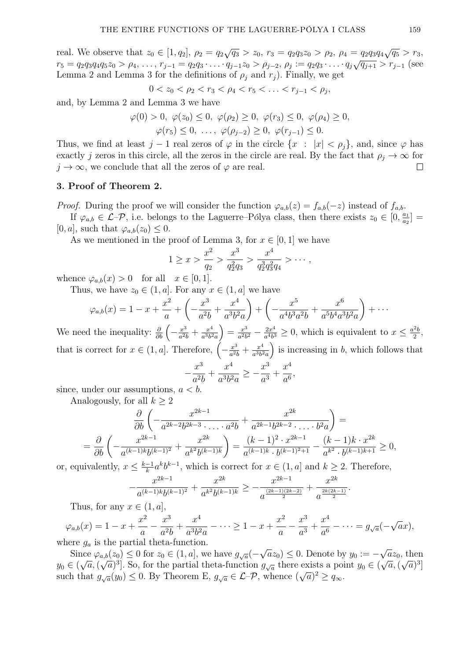real. We observe that  $z_0 \in [1, q_2], \ \rho_2 = q_2 \sqrt{q_3} > z_0, \ r_3 = q_2 q_3 z_0 > \rho_2, \ \rho_4 = q_2 q_3 q_4 \sqrt{q_5} > r_3$ rt al. We observe that  $z_0 \in [1, q_2], p_2 = q_2 \sqrt{q_3} > z_0, r_3 = q_2 q_3 z_0 > p_2, p_4 = q_2 q_3 q_4 \sqrt{q_3} > r_3,$ <br>  $r_5 = q_2 q_3 q_4 q_5 z_0 > p_4, \ldots, r_{j-1} = q_2 q_3 \cdot \ldots \cdot q_{j-1} z_0 > p_{j-2}, p_j := q_2 q_3 \cdot \ldots \cdot q_j \sqrt{q_{j+1}} > r_{j-1}$  (see Lemma 2 and Lemma 3 for the definitions of  $\rho_i$  and  $r_j$ ). Finally, we get

$$
0 < z_0 < \rho_2 < r_3 < \rho_4 < r_5 < \ldots < r_{j-1} < \rho_j
$$

and, by Lemma 2 and Lemma 3 we have

$$
\varphi(0) > 0, \ \varphi(z_0) \leq 0, \ \varphi(\rho_2) \geq 0, \ \varphi(r_3) \leq 0, \ \varphi(\rho_4) \geq 0,
$$
  
 $\varphi(r_5) \leq 0, \ \ldots, \ \varphi(\rho_{j-2}) \geq 0, \ \varphi(r_{j-1}) \leq 0.$ 

Thus, we find at least j – 1 real zeros of  $\varphi$  in the circle  $\{x : |x| < \rho_i\}$ , and, since  $\varphi$  has exactly j zeros in this circle, all the zeros in the circle are real. By the fact that  $\rho_j \to \infty$  for  $j \to \infty$ , we conclude that all the zeros of  $\varphi$  are real.

## 3. Proof of Theorem 2.

*Proof.* During the proof we will consider the function  $\varphi_{a,b}(z) = f_{a,b}(-z)$  instead of  $f_{a,b}$ .

If  $\varphi_{a,b} \in \mathcal{L}$ - $\mathcal{P}$ , i.e. belongs to the Laguerre–Pólya class, then there exists  $z_0 \in [0, \frac{a_1}{a_2}]$  $\frac{a_1}{a_2}$  =  $[0, a]$ , such that  $\varphi_{a,b}(z_0) \leq 0$ .

As we mentioned in the proof of Lemma 3, for  $x \in [0,1]$  we have

$$
1 \geq x > \frac{x^2}{q_2} > \frac{x^3}{q_2^2 q_3} > \frac{x^4}{q_2^3 q_3^2 q_4} > \cdots,
$$

whence  $\varphi_{a,b}(x) > 0$  for all  $x \in [0,1]$ .

Thus, we have  $z_0 \in (1, a]$ . For any  $x \in (1, a]$  we have

$$
\varphi_{a,b}(x) = 1 - x + \frac{x^2}{a} + \left( -\frac{x^3}{a^2b} + \frac{x^4}{a^3b^2a} \right) + \left( -\frac{x^5}{a^4b^3a^2b} + \frac{x^6}{a^5b^4a^3b^2a} \right) + \cdots
$$

We need the inequality:  $\frac{\partial}{\partial b} \left( -\frac{x^3}{a^2 b} \right)$  $rac{x^3}{a^2b} + \frac{x^4}{a^3b^2}$  $\frac{x^4}{a^3b^2a}$  =  $\frac{x^3}{a^2b}$  $rac{x^3}{a^2b^2} - \frac{2x^4}{a^4b^3}$  $\frac{2x^4}{a^4b^3} \geq 0$ , which is equivalent to  $x \leq \frac{a^2b}{2}$  $rac{2}{2}$ that is correct for  $x \in (1, a]$ . Therefore,  $\left(-\frac{x^3}{a^2}\right)$  $rac{x^3}{a^2b} + \frac{x^4}{a^3b^2}$  $\left(\frac{x^4}{a^3b^2a}\right)$  is increasing in b, which follows that  $x^3$   $x^4$   $x^3$   $x^4$ ,

$$
-\frac{x^3}{a^2b} + \frac{x^4}{a^3b^2a} \ge -\frac{x^3}{a^3} + \frac{x^4}{a^6}.
$$

since, under our assumptions,  $a < b$ .

Analogously, for all  $k \geq 2$ 

$$
\frac{\partial}{\partial b} \left( -\frac{x^{2k-1}}{a^{2k-2}b^{2k-3} \cdot \ldots \cdot a^{2b}} + \frac{x^{2k}}{a^{2k-1}b^{2k-2} \cdot \ldots \cdot b^{2}a} \right) =
$$
\n
$$
= \frac{\partial}{\partial b} \left( -\frac{x^{2k-1}}{a^{(k-1)k}b^{(k-1)^2}} + \frac{x^{2k}}{a^{k^2}b^{(k-1)k}} \right) = \frac{(k-1)^2 \cdot x^{2k-1}}{a^{(k-1)k} \cdot b^{(k-1)^2+1}} - \frac{(k-1)k \cdot x^{2k}}{a^{k^2} \cdot b^{(k-1)k+1}} \ge 0,
$$

or, equivalently,  $x \leq \frac{k-1}{k}$  $\frac{-1}{k}a^kb^{k-1}$ , which is correct for  $x \in (1, a]$  and  $k \geq 2$ . Therefore,

$$
-\frac{x^{2k-1}}{a^{(k-1)k}b^{(k-1)^2}} + \frac{x^{2k}}{a^{k^2}b^{(k-1)k}} \ge -\frac{x^{2k-1}}{a^{\frac{(2k-1)(2k-2)}{2}}} + \frac{x^{2k}}{a^{\frac{2k(2k-1)}{2}}}.
$$

Thus, for any  $x \in (1, a],$ 

 $\varphi_{a,b}(x) = 1 - x + \frac{x^2}{x}$ a  $-\frac{x^3}{2}$  $\frac{x}{a^2b}$  +  $x^4$  $a^3b^2a$  $-\cdots \geq 1-x+\frac{x^2}{x}$ a  $-\frac{x^3}{2}$  $\frac{a}{a^3}$  +  $x^4$  $\frac{x}{a^6} - \cdots = g_{\sqrt{a}}(-$ √  $\overline{a}x),$ where  $g_a$  is the partial theta-function.

Since  $\varphi_{a,b}(z_0) \leq 0$  for  $z_0 \in (1, a]$ , we have  $g_{\sqrt{a}}(-$ √  $\overline{a}z_0$   $\leq$  0. Denote by  $y_0 := -$ √  $\alpha_{a,b}(z_0) \leq 0$  for  $z_0 \in (1, a]$ , we have  $g_{\sqrt{a}}(-\sqrt{a}z_0) \leq 0$ . Denote by  $y_0 := -\sqrt{a}z_0$ , then  $y_0 \in (\sqrt{a}, (\sqrt{a})^3]$ . So, for the partial theta-function  $g_{\sqrt{a}}$  there exists a point  $y_0 \in (\sqrt{a}, (\sqrt{a})^3]$ such that  $g_{\sqrt{a}}(y_0) \leq 0$ . By Theorem E,  $g_{\sqrt{a}} \in \mathcal{L}$ - $\mathcal{P}$ , whence  $({\sqrt{a}})^2 \geq q_{\infty}$ .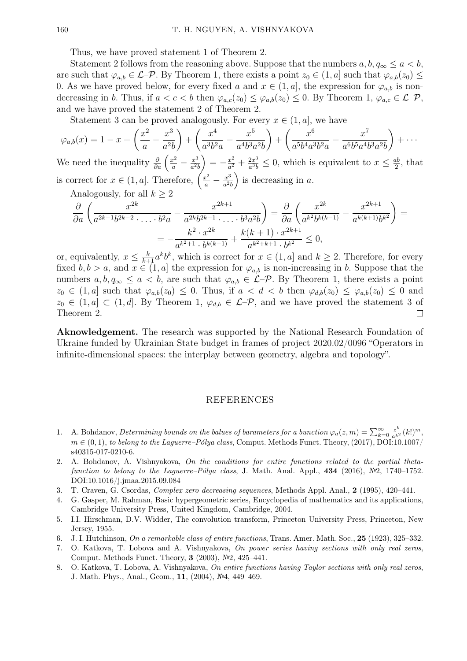Thus, we have proved statement 1 of Theorem 2.

Statement 2 follows from the reasoning above. Suppose that the numbers  $a, b, q_\infty \le a < b$ , are such that  $\varphi_{a,b} \in \mathcal{L}$ - $\mathcal{P}$ . By Theorem 1, there exists a point  $z_0 \in (1, a]$  such that  $\varphi_{a,b}(z_0) \leq$ 0. As we have proved below, for every fixed a and  $x \in (1, a]$ , the expression for  $\varphi_{a,b}$  is nondecreasing in b. Thus, if  $a < c < b$  then  $\varphi_{a,c}(z_0) \leq \varphi_{a,b}(z_0) \leq 0$ . By Theorem 1,  $\varphi_{a,c} \in \mathcal{L}-\mathcal{P}$ , and we have proved the statement 2 of Theorem 2.

Statement 3 can be proved analogously. For every  $x \in (1, a]$ , we have

$$
\varphi_{a,b}(x) = 1 - x + \left(\frac{x^2}{a} - \frac{x^3}{a^2b}\right) + \left(\frac{x^4}{a^3b^2a} - \frac{x^5}{a^4b^3a^2b}\right) + \left(\frac{x^6}{a^5b^4a^3b^2a} - \frac{x^7}{a^6b^5a^4b^3a^2b}\right) + \cdots
$$

We need the inequality  $\frac{\partial}{\partial a} \left( \frac{x^2}{a} - \frac{x^3}{a^2} \right)$  $\frac{x^3}{a^2b}\Big) = -\frac{x^2}{a^2}$  $rac{x^2}{a^2} + \frac{2x^3}{a^3b}$  $\frac{2x^3}{a^3b} \leq 0$ , which is equivalent to  $x \leq \frac{ab}{2}$  $\frac{ab}{2}$ , that is correct for  $x \in (1, a]$ . Therefore,  $\left(\frac{x^2}{a} - \frac{x^3}{a^2}\right)$  $\left(\frac{x^3}{a^2b}\right)$  is decreasing in a.

Analogously, for all  $k \geq 2$ 

$$
\frac{\partial}{\partial a} \left( \frac{x^{2k}}{a^{2k-1}b^{2k-2} \cdot \ldots \cdot b^2 a} - \frac{x^{2k+1}}{a^{2k}b^{2k-1} \cdot \ldots \cdot b^3 a^2 b} \right) = \frac{\partial}{\partial a} \left( \frac{x^{2k}}{a^{k^2}b^{k(k-1)}} - \frac{x^{2k+1}}{a^{k(k+1)}b^{k^2}} \right) =
$$

$$
= -\frac{k^2 \cdot x^{2k}}{a^{k^2+1} \cdot b^{k(k-1)}} + \frac{k(k+1) \cdot x^{2k+1}}{a^{k^2+k+1} \cdot b^{k^2}} \le 0,
$$

or, equivalently,  $x \leq \frac{k}{k+1} a^k b^k$ , which is correct for  $x \in (1, a]$  and  $k \geq 2$ . Therefore, for every fixed  $b, b > a$ , and  $x \in (1, a]$  the expression for  $\varphi_{a,b}$  is non-increasing in b. Suppose that the numbers  $a, b, q_\infty \le a < b$ , are such that  $\varphi_{a,b} \in \mathcal{L}$ - $\mathcal{P}$ . By Theorem 1, there exists a point  $z_0 \in (1, a]$  such that  $\varphi_{a,b}(z_0) \leq 0$ . Thus, if  $a < d < b$  then  $\varphi_{d,b}(z_0) \leq \varphi_{a,b}(z_0) \leq 0$  and  $z_0 \in (1, a] \subset (1, d]$ . By Theorem 1,  $\varphi_{d,b} \in \mathcal{L}$ - $\mathcal{P}$ , and we have proved the statement 3 of Theorem 2.  $\Box$ 

Aknowledgement. The research was supported by the National Research Foundation of Ukraine funded by Ukrainian State budget in frames of project 2020.02/0096 "Operators in infinite-dimensional spaces: the interplay between geometry, algebra and topology".

#### REFERENCES

- 1. A. Bohdanov, Determining bounds on the balues of barameters for a bunction  $\varphi_a(z,m) = \sum_{k=0}^{\infty} \frac{z^k}{a^{k^2}}(k!)^m$ ,  $m \in (0,1)$ , to belong to the Laguerre–Pólya class, Comput. Methods Funct. Theory, (2017), DOI:10.1007/ s40315-017-0210-6.
- 2. A. Bohdanov, A. Vishnyakova, On the conditions for entire functions related to the partial thetafunction to belong to the Laguerre–Pólya class, J. Math. Anal. Appl.,  $434$  (2016), №2, 1740–1752. DOI:10.1016/j.jmaa.2015.09.084
- 3. T. Craven, G. Csordas, Complex zero decreasing sequences, Methods Appl. Anal., 2 (1995), 420–441.
- 4. G. Gasper, M. Rahman, Basic hypergeometric series, Encyclopedia of mathematics and its applications, Cambridge University Press, United Kingdom, Cambridge, 2004.
- 5. I.I. Hirschman, D.V. Widder, The convolution transform, Princeton University Press, Princeton, New Jersey, 1955.
- 6. J. I. Hutchinson, On a remarkable class of entire functions, Trans. Amer. Math. Soc., 25 (1923), 325–332.
- 7. O. Katkova, T. Lobova and A. Vishnyakova, On power series having sections with only real zeros, Comput. Methods Funct. Theory, 3 (2003), №2, 425–441.
- 8. O. Katkova, T. Lobova, A. Vishnyakova, On entire functions having Taylor sections with only real zeros, J. Math. Phys., Anal., Geom., 11, (2004), №4, 449–469.